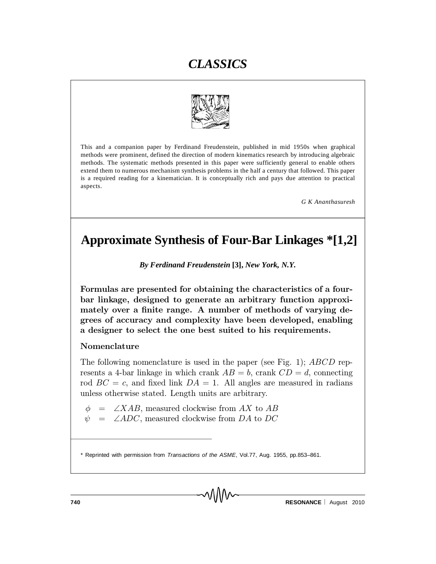

This and a companion paper by Ferdinand Freudenstein, published in mid 1950s when graphical methods were prominent, defined the direction of modern kinematics research by introducing algebraic methods. The systematic methods presented in this paper were sufficiently general to enable others extend them to numerous mechanism synthesis problems in the half a century that followed. This paper is a required reading for a kinematician. It is conceptually rich and pays due attention to practical aspects.

*G K Ananthasuresh*

## **Approximate Synthesis of Four-Bar Linkages \*[1,2]**

*By Ferdinand Freudenstein* **[3],** *New York, N.Y.*

Formulas are presented for obtaining the characteristics of a fourbar linkage, designed to generate an arbitrary function approximately over a finite range. A number of methods of varying degrees of accuracy and complexity have been developed, enabling a designer to select the one best suited to his requirements.

#### Nomenclature

The following nomenclature is used in the paper (see Fig. 1); ABCD represents a 4-bar linkage in which crank  $AB = b$ , crank  $CD = d$ , connecting rod  $BC = c$ , and fixed link  $DA = 1$ . All angles are measured in radians unless otherwise stated. Length units are arbitrary.

 $\phi$  =  $\angle XAB$ , measured clockwise from AX to AB

 $\psi$  =  $\angle ADC$ , measured clockwise from DA to DC

<sup>\*</sup> Reprinted with permission from *Transactions of the ASME*, Vol.77, Aug. 1955, pp.853–861.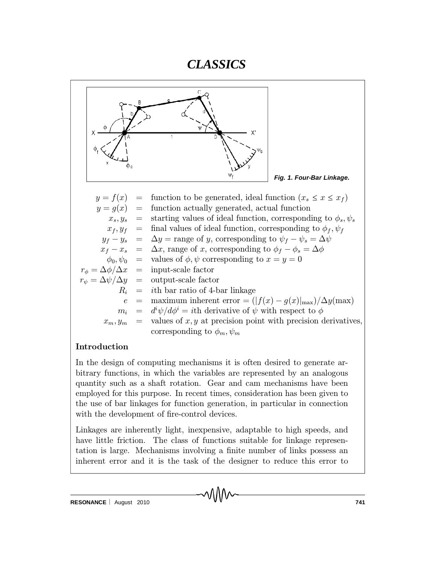

### Introduction

In the design of computing mechanisms it is often desired to generate arbitrary functions, in which the variables are represented by an analogous quantity such as a shaft rotation. Gear and cam mechanisms have been employed for this purpose. In recent times, consideration has been given to the use of bar linkages for function generation, in particular in connection with the development of fire-control devices.

Linkages are inherently light, inexpensive, adaptable to high speeds, and have little friction. The class of functions suitable for linkage representation is large. Mechanisms involving a finite number of links possess an inherent error and it is the task of the designer to reduce this error to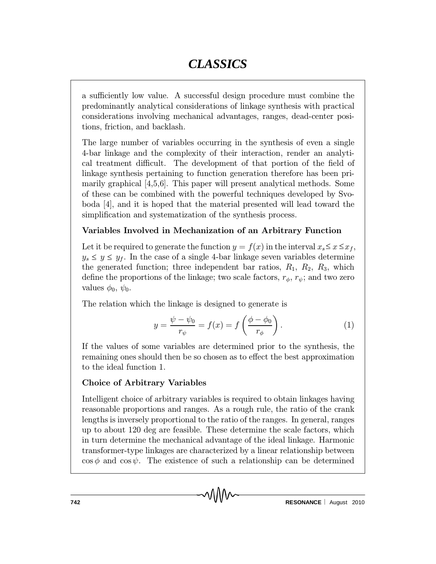a sufficiently low value. A successful design procedure must combine the predominantly analytical considerations of linkage synthesis with practical considerations involving mechanical advantages, ranges, dead-center positions, friction, and backlash.

The large number of variables occurring in the synthesis of even a single 4-bar linkage and the complexity of their interaction, render an analytical treatment difficult. The development of that portion of the field of linkage synthesis pertaining to function generation therefore has been primarily graphical [4,5,6]. This paper will present analytical methods. Some of these can be combined with the powerful techniques developed by Svoboda [4], and it is hoped that the material presented will lead toward the simplification and systematization of the synthesis process.

### Variables Involved in Mechanization of an Arbitrary Function

Let it be required to generate the function  $y = f(x)$  in the interval  $x_s \leq x \leq x_f$ ,  $y_s \le y \le y_f$ . In the case of a single 4-bar linkage seven variables determine the generated function; three independent bar ratios,  $R_1, R_2, R_3$ , which define the proportions of the linkage; two scale factors,  $r_{\phi}$ ,  $r_{\psi}$ ; and two zero values  $\phi_0, \psi_0$ .

The relation which the linkage is designed to generate is

$$
y = \frac{\psi - \psi_0}{r_{\psi}} = f(x) = f\left(\frac{\phi - \phi_0}{r_{\phi}}\right). \tag{1}
$$

If the values of some variables are determined prior to the synthesis, the remaining ones should then be so chosen as to effect the best approximation to the ideal function 1.

### Choice of Arbitrary Variables

Intelligent choice of arbitrary variables is required to obtain linkages having reasonable proportions and ranges. As a rough rule, the ratio of the crank lengths is inversely proportional to the ratio of the ranges. In general, ranges up to about 120 deg are feasible. These determine the scale factors, which in turn determine the mechanical advantage of the ideal linkage. Harmonic transformer-type linkages are characterized by a linear relationship between  $\cos \phi$  and  $\cos \psi$ . The existence of such a relationship can be determined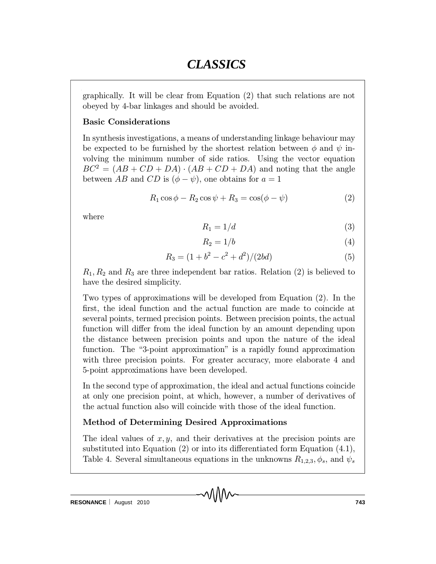graphically. It will be clear from Equation (2) that such relations are not obeyed by 4-bar linkages and should be avoided.

### Basic Considerations

In synthesis investigations, a means of understanding linkage behaviour may be expected to be furnished by the shortest relation between  $\phi$  and  $\psi$  involving the minimum number of side ratios. Using the vector equation  $BC^2 = (AB + CD + DA) \cdot (AB + CD + DA)$  and noting that the angle between AB and CD is  $(\phi - \psi)$ , one obtains for  $a = 1$ 

$$
R_1 \cos \phi - R_2 \cos \psi + R_3 = \cos(\phi - \psi)
$$
 (2)

where

$$
R_1 = 1/d \tag{3}
$$

$$
R_2 = 1/b \tag{4}
$$

$$
R_3 = (1 + b^2 - c^2 + d^2)/(2bd)
$$
 (5)

 $R_1, R_2$  and  $R_3$  are three independent bar ratios. Relation (2) is believed to have the desired simplicity.

Two types of approximations will be developed from Equation (2). In the first, the ideal function and the actual function are made to coincide at several points, termed precision points. Between precision points, the actual function will differ from the ideal function by an amount depending upon the distance between precision points and upon the nature of the ideal function. The "3-point approximation" is a rapidly found approximation with three precision points. For greater accuracy, more elaborate 4 and 5-point approximations have been developed.

In the second type of approximation, the ideal and actual functions coincide at only one precision point, at which, however, a number of derivatives of the actual function also will coincide with those of the ideal function.

### Method of Determining Desired Approximations

The ideal values of  $x, y$ , and their derivatives at the precision points are substituted into Equation  $(2)$  or into its differentiated form Equation  $(4.1)$ , Table 4. Several simultaneous equations in the unknowns  $R_{1,2,3}$ ,  $\phi_s$ , and  $\psi_s$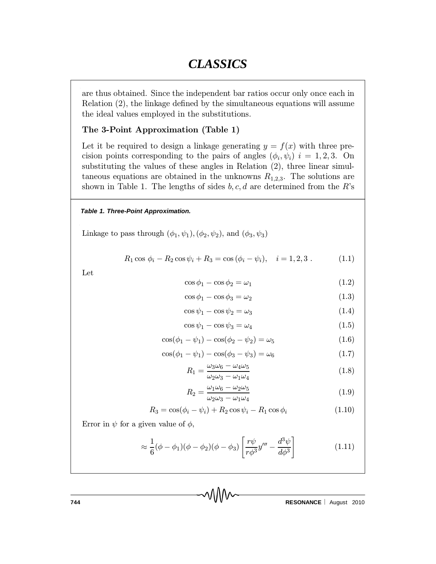are thus obtained. Since the independent bar ratios occur only once each in Relation  $(2)$ , the linkage defined by the simultaneous equations will assume the ideal values employed in the substitutions.

### The 3-Point Approximation (Table 1)

Let it be required to design a linkage generating  $y = f(x)$  with three precision points corresponding to the pairs of angles  $(\phi_i, \psi_i)$   $i = 1, 2, 3$ . On substituting the values of these angles in Relation (2), three linear simultaneous equations are obtained in the unknowns  $R_{1,2,3}$ . The solutions are shown in Table 1. The lengths of sides  $b, c, d$  are determined from the R's

#### *Table 1. Three-Point Approximation.*

Linkage to pass through  $(\phi_1, \psi_1), (\phi_2, \psi_2)$ , and  $(\phi_3, \psi_3)$ 

$$
R_1 \cos \phi_i - R_2 \cos \psi_i + R_3 = \cos (\phi_i - \psi_i), \quad i = 1, 2, 3. \tag{1.1}
$$

Let

$$
\cos \phi_1 - \cos \phi_2 = \omega_1 \tag{1.2}
$$

$$
\cos \phi_1 - \cos \phi_3 = \omega_2 \tag{1.3}
$$

$$
\cos\psi_1 - \cos\psi_2 = \omega_3 \tag{1.4}
$$

$$
\cos\psi_1 - \cos\psi_3 = \omega_4 \tag{1.5}
$$

$$
\cos(\phi_1 - \psi_1) - \cos(\phi_2 - \psi_2) = \omega_5 \tag{1.6}
$$

$$
\cos(\phi_1 - \psi_1) - \cos(\phi_3 - \psi_3) = \omega_6 \tag{1.7}
$$

$$
R_1 = \frac{\omega_3 \omega_6 - \omega_4 \omega_5}{\omega_2 \omega_3 - \omega_1 \omega_4} \tag{1.8}
$$

$$
R_2 = \frac{\omega_1 \omega_6 - \omega_2 \omega_5}{\omega_2 \omega_3 - \omega_1 \omega_4} \tag{1.9}
$$

$$
R_3 = \cos(\phi_i - \psi_i) + R_2 \cos \psi_i - R_1 \cos \phi_i \qquad (1.10)
$$

Error in  $\psi$  for a given value of  $\phi$ ,

$$
\approx \frac{1}{6}(\phi - \phi_1)(\phi - \phi_2)(\phi - \phi_3) \left[ \frac{r\psi}{r\phi^3} y''' - \frac{d^3\psi}{d\phi^3} \right]
$$
(1.11)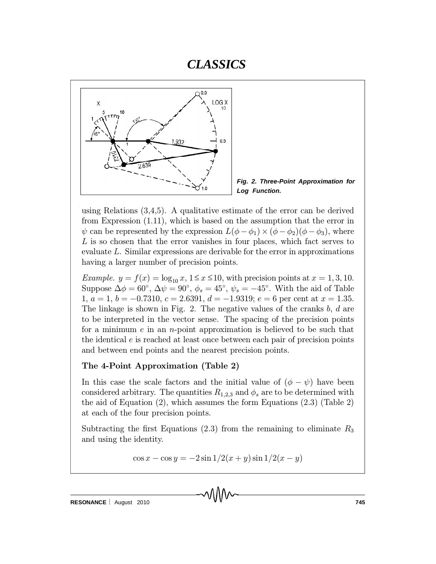



using Relations  $(3,4,5)$ . A qualitative estimate of the error can be derived from Expression (1.11), which is based on the assumption that the error in  $\psi$  can be represented by the expression  $L(\phi - \phi_1) \times (\phi - \phi_2)(\phi - \phi_3)$ , where  $L$  is so chosen that the error vanishes in four places, which fact serves to evaluate L. Similar expressions are derivable for the error in approximations having a larger number of precision points.

*Example.*  $y = f(x) = \log_{10} x, 1 \le x \le 10$ , with precision points at  $x = 1, 3, 10$ . Suppose  $\Delta \phi = 60^{\circ}$ ,  $\Delta \psi = 90^{\circ}$ ,  $\phi_s = 45^{\circ}$ ,  $\psi_s = -45^{\circ}$ . With the aid of Table 1,  $a = 1$ ,  $b = -0.7310$ ,  $c = 2.6391$ ,  $d = -1.9319$ ;  $e = 6$  per cent at  $x = 1.35$ . The linkage is shown in Fig. 2. The negative values of the cranks  $b, d$  are to be interpreted in the vector sense. The spacing of the precision points for a minimum  $e$  in an *n*-point approximation is believed to be such that the identical e is reached at least once between each pair of precision points and between end points and the nearest precision points.

### The 4-Point Approximation (Table 2)

In this case the scale factors and the initial value of  $(\phi - \psi)$  have been considered arbitrary. The quantities  $R_{1,2,3}$  and  $\phi_s$  are to be determined with the aid of Equation (2), which assumes the form Equations (2.3) (Table 2) at each of the four precision points.

Subtracting the first Equations (2.3) from the remaining to eliminate  $R_3$ and using the identity.

$$
\cos x - \cos y = -2\sin 1/2(x+y)\sin 1/2(x-y)
$$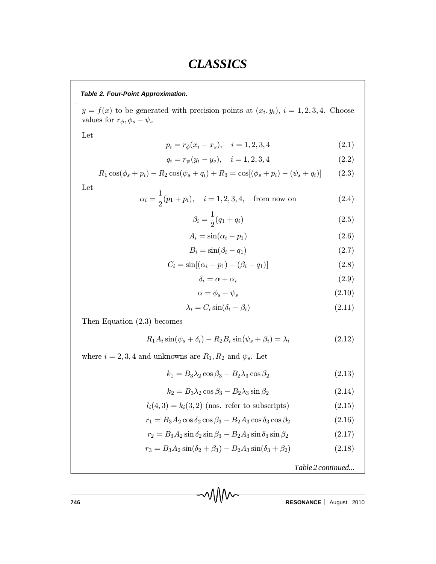#### *Table 2. Four-Point Approximation.*

 $y = f(x)$  to be generated with precision points at  $(x_i, y_i)$ ,  $i = 1, 2, 3, 4$ . Choose values for  $r_{\phi}, \phi_s - \psi_s$ 

Let

$$
p_i = r_{\phi}(x_i - x_s), \quad i = 1, 2, 3, 4 \tag{2.1}
$$

$$
q_i = r_{\psi}(y_i - y_s), \quad i = 1, 2, 3, 4 \tag{2.2}
$$

$$
R_1 \cos(\phi_s + p_i) - R_2 \cos(\psi_s + q_i) + R_3 = \cos[(\phi_s + p_i) - (\psi_s + q_i)] \tag{2.3}
$$

Let

$$
\alpha_i = \frac{1}{2}(p_1 + p_i), \quad i = 1, 2, 3, 4, \quad \text{from now on} \tag{2.4}
$$

$$
\beta_i = \frac{1}{2}(q_1 + q_i) \tag{2.5}
$$

$$
A_i = \sin(\alpha_i - p_1) \tag{2.6}
$$

$$
B_i = \sin(\beta_i - q_1) \tag{2.7}
$$

$$
C_i = \sin[(\alpha_i - p_1) - (\beta_i - q_1)]
$$
\n(2.8)

$$
\delta_i = \alpha + \alpha_i \tag{2.9}
$$

$$
\alpha = \phi_s - \psi_s \tag{2.10}
$$

$$
\lambda_i = C_i \sin(\delta_i - \beta_i) \tag{2.11}
$$

Then Equation (2.3) becomes

$$
R_1 A_i \sin(\psi_s + \delta_i) - R_2 B_i \sin(\psi_s + \beta_i) = \lambda_i \tag{2.12}
$$

where  $i=2,3,4$  and unknowns are  $R_1,R_2$  and  $\psi_s.$  Let

$$
k_1 = B_3 \lambda_2 \cos \beta_3 - B_2 \lambda_3 \cos \beta_2 \tag{2.13}
$$

$$
k_2 = B_3 \lambda_2 \cos \beta_3 - B_2 \lambda_3 \sin \beta_2 \tag{2.14}
$$

$$
l_i(4,3) = k_i(3,2) \text{ (nos. refer to subscripts)}
$$
\n(2.15)

$$
r_1 = B_3 A_2 \cos \delta_2 \cos \beta_3 - B_2 A_3 \cos \delta_3 \cos \beta_2 \tag{2.16}
$$

$$
r_2 = B_3 A_2 \sin \delta_2 \sin \beta_3 - B_2 A_3 \sin \delta_3 \sin \beta_2 \tag{2.17}
$$

$$
r_3 = B_3 A_2 \sin(\delta_2 + \beta_3) - B_2 A_3 \sin(\delta_3 + \beta_2)
$$
 (2.18)

*Table 2 continued...*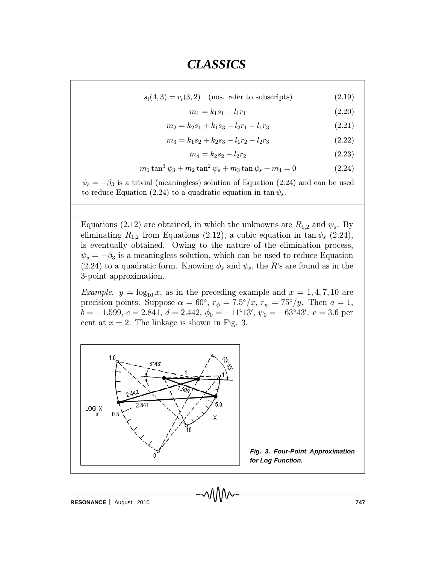$s_i(4,3) = r_i(3,2)$  (nos. refer to subscripts) (2.19)

$$
m_1 = k_1 s_1 - l_1 r_1 \tag{2.20}
$$

$$
m_2 = k_2 s_1 + k_1 s_3 - l_2 r_1 - l_1 r_3 \tag{2.21}
$$

$$
m_3 = k_1 s_2 + k_2 s_3 - l_1 r_2 - l_2 r_3 \tag{2.22}
$$

$$
m_4 = k_2 s_2 - l_2 r_2 \tag{2.23}
$$

$$
m_1 \tan^3 \psi_3 + m_2 \tan^2 \psi_s + m_3 \tan \psi_s + m_4 = 0 \tag{2.24}
$$

 $\psi_s = -\beta_3$  is a trivial (meaningless) solution of Equation (2.24) and can be used to reduce Equation (2.24) to a quadratic equation in tan  $\psi_s$ .

Equations (2.12) are obtained, in which the unknowns are  $R_{1,2}$  and  $\psi_s$ . By eliminating  $R_{1,2}$  from Equations (2.12), a cubic equation in tan  $\psi_s$  (2.24), is eventually obtained. Owing to the nature of the elimination process,  $\psi_s = -\beta_3$  is a meaningless solution, which can be used to reduce Equation  $(2.24)$  to a quadratic form. Knowing  $\phi_s$  and  $\psi_s$ , the R's are found as in the 3-point approximation.

*Example.*  $y = \log_{10} x$ , as in the preceding example and  $x = 1, 4, 7, 10$  are precision points. Suppose  $\alpha = 60^{\circ}$ ,  $r_{\phi} = 7.5^{\circ}/x$ ,  $r_{\psi} = 75^{\circ}/y$ . Then  $a = 1$ ,  $b = -1.599, c = 2.841, d = 2.442, \phi_0 = -11^\circ 13', \psi_0 = -63^\circ 43'. e = 3.6$  per cent at  $x = 2$ . The linkage is shown in Fig. 3.



*Fig. 3. Four-Point Approximation for Log Function.*

**RESONANCE** | August 2010 **747 747**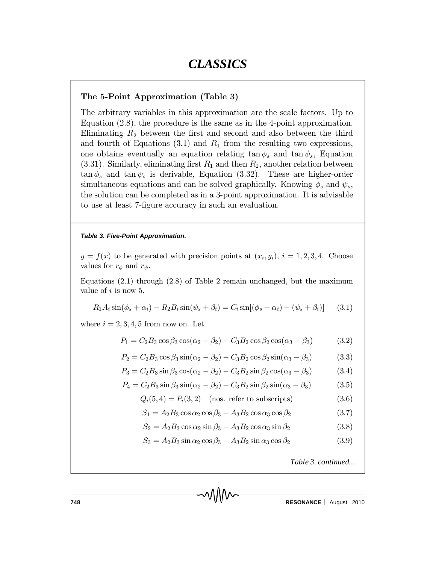### The 5-Point Approximation (Table 3)

The arbitrary variables in this approximation are the scale factors. Up to Equation (2.8), the procedure is the same as in the 4-point approximation. Eliminating  $R_2$  between the first and second and also between the third and fourth of Equations  $(3.1)$  and  $R_1$  from the resulting two expressions, one obtains eventually an equation relating  $\tan \phi_s$  and  $\tan \psi_s$ , Equation (3.31). Similarly, eliminating first  $R_1$  and then  $R_2$ , another relation between  $\tan \phi_s$  and  $\tan \psi_s$  is derivable, Equation (3.32). These are higher-order simultaneous equations and can be solved graphically. Knowing  $\phi_s$  and  $\psi_s$ , the solution can be completed as in a 3-point approximation. It is advisable to use at least 7-figure accuracy in such an evaluation.

#### *Table 3. Five-Point Approximation.*

 $y = f(x)$  to be generated with precision points at  $(x_i, y_i)$ ,  $i = 1, 2, 3, 4$ . Choose values for  $r_{\phi}$  and  $r_{\psi}$ .

Equations (2.1) through (2.8) of Table 2 remain unchanged, but the maximum value of *i* is now 5.

$$
R_1 A_i \sin(\phi_s + \alpha_i) - R_2 B_i \sin(\psi_s + \beta_i) = C_i \sin[(\phi_s + \alpha_i) - (\psi_s + \beta_i)] \tag{3.1}
$$

where  $i = 2, 3, 4, 5$  from now on. Let

$$
P_1 = C_2 B_3 \cos \beta_3 \cos(\alpha_2 - \beta_2) - C_3 B_2 \cos \beta_2 \cos(\alpha_3 - \beta_3)
$$
 (3.2)

$$
P_2 = C_2 B_3 \cos \beta_3 \sin(\alpha_2 - \beta_2) - C_3 B_2 \cos \beta_2 \sin(\alpha_3 - \beta_3)
$$
 (3.3)

$$
P_3 = C_2 B_3 \sin \beta_3 \cos(\alpha_2 - \beta_2) - C_3 B_2 \sin \beta_2 \cos(\alpha_3 - \beta_3)
$$
 (3.4)

$$
P_4 = C_2 B_3 \sin \beta_3 \sin(\alpha_2 - \beta_2) - C_3 B_2 \sin \beta_2 \sin(\alpha_3 - \beta_3)
$$
 (3.5)

$$
Q_i(5,4) = P_i(3,2) \quad \text{(nos. refer to subscripts)} \tag{3.6}
$$

$$
S_1 = A_2 B_3 \cos \alpha_2 \cos \beta_3 - A_3 B_2 \cos \alpha_3 \cos \beta_2 \tag{3.7}
$$

$$
S_2 = A_2 B_3 \cos \alpha_2 \sin \beta_3 - A_3 B_2 \cos \alpha_3 \sin \beta_2 \tag{3.8}
$$

$$
S_3 = A_2 B_3 \sin \alpha_2 \cos \beta_3 - A_3 B_2 \sin \alpha_3 \cos \beta_2 \tag{3.9}
$$

*Table 3. continued...*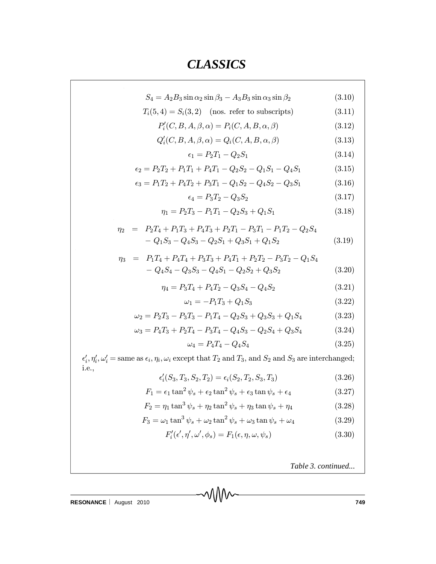$\hat{\mathcal{L}}$ 

 $\bar{z}$ 

$$
S_4 = A_2 B_3 \sin \alpha_2 \sin \beta_3 - A_3 B_3 \sin \alpha_3 \sin \beta_2 \tag{3.10}
$$

$$
T_i(5,4) = S_i(3,2) \quad \text{(nos. refer to subscripts)} \tag{3.11}
$$

$$
P'_{i}(C, B, A, \beta, \alpha) = P_{i}(C, A, B, \alpha, \beta)
$$
\n(3.12)

$$
Q'_{i}(C, B, A, \beta, \alpha) = Q_{i}(C, A, B, \alpha, \beta)
$$
\n(3.13)

$$
\epsilon_1 = P_2 T_1 - Q_2 S_1 \tag{3.14}
$$

$$
\epsilon_2 = P_2 T_2 + P_1 T_1 + P_4 T_1 - Q_2 S_2 - Q_1 S_1 - Q_4 S_1 \tag{3.15}
$$

$$
\epsilon_3 = P_1 T_2 + P_4 T_2 + P_3 T_1 - Q_1 S_2 - Q_4 S_2 - Q_3 S_1 \tag{3.16}
$$

$$
\epsilon_4 = P_3 T_2 - Q_3 S_2 \tag{3.17}
$$

$$
\eta_1 = P_2 T_3 - P_1 T_1 - Q_2 S_3 + Q_1 S_1 \tag{3.18}
$$

$$
\eta_2 = P_2T_4 + P_1T_3 + P_4T_3 + P_2T_1 - P_3T_1 - P_1T_2 - Q_2S_4 - Q_1S_3 - Q_4S_3 - Q_2S_1 + Q_3S_1 + Q_1S_2
$$
\n(3.19)

$$
\eta_3 = P_1 T_4 + P_4 T_4 + P_3 T_3 + P_4 T_1 + P_2 T_2 - P_3 T_2 - Q_1 S_4 - Q_4 S_4 - Q_3 S_3 - Q_4 S_1 - Q_2 S_2 + Q_3 S_2
$$
\n(3.20)

$$
\eta_4 = P_3 T_4 + P_4 T_2 - Q_3 S_4 - Q_4 S_2 \tag{3.21}
$$

$$
\omega_1 = -P_1 T_3 + Q_1 S_3 \tag{3.22}
$$

$$
\omega_2 = P_2 T_3 - P_3 T_3 - P_1 T_4 - Q_2 S_3 + Q_3 S_3 + Q_1 S_4 \tag{3.23}
$$

$$
\omega_3 = P_4 T_3 + P_2 T_4 - P_3 T_4 - Q_4 S_3 - Q_2 S_4 + Q_3 S_4 \tag{3.24}
$$

$$
\omega_4 = P_4 T_4 - Q_4 S_4 \tag{3.25}
$$

 $\epsilon'_i$ ,  $\eta'_i$ ,  $\omega'_i$  = same as  $\epsilon_i$ ,  $\eta_i$ ,  $\omega_i$  except that  $T_2$  and  $T_3$ , and  $S_2$  and  $S_3$  are interchanged; i.e.,

$$
\epsilon'_i(S_3, T_3, S_2, T_2) = \epsilon_i(S_2, T_2, S_3, T_3) \tag{3.26}
$$

$$
F_1 = \epsilon_1 \tan^2 \psi_s + \epsilon_2 \tan^2 \psi_s + \epsilon_3 \tan \psi_s + \epsilon_4 \tag{3.27}
$$

$$
F_2 = \eta_1 \tan^3 \psi_s + \eta_2 \tan^2 \psi_s + \eta_3 \tan \psi_s + \eta_4 \tag{3.28}
$$

$$
F_3 = \omega_1 \tan^3 \psi_s + \omega_2 \tan^2 \psi_s + \omega_3 \tan \psi_s + \omega_4 \tag{3.29}
$$

$$
F'_{i}(\epsilon', \eta', \omega', \phi_s) = F_1(\epsilon, \eta, \omega, \psi_s)
$$
\n(3.30)

*Table 3. continued...*

**RESONANCE** | August 2010 **749**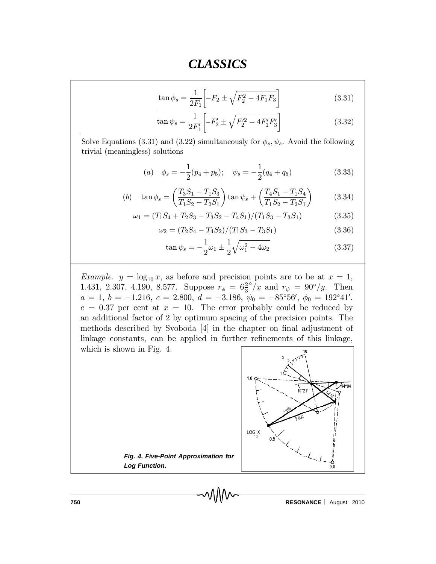$$
\tan \phi_s = \frac{1}{2F_1} \left[ -F_2 \pm \sqrt{F_2^2 - 4F_1 F_3} \right] \tag{3.31}
$$

$$
\tan \psi_s = \frac{1}{2F_1'} \left[ -F_2' \pm \sqrt{F_2'^2 - 4F_1'F_3'} \right] \tag{3.32}
$$

Solve Equations (3.31) and (3.22) simultaneously for  $\phi_s$ ,  $\psi_s$ . Avoid the following trivial (meaningless) solutions

(a) 
$$
\phi_s = -\frac{1}{2}(p_4 + p_5); \quad \psi_s = -\frac{1}{2}(q_4 + q_5)
$$
 (3.33)

(b) 
$$
\tan \phi_s = \left(\frac{T_3 S_1 - T_1 S_3}{T_1 S_2 - T_2 S_1}\right) \tan \psi_s + \left(\frac{T_4 S_1 - T_1 S_4}{T_1 S_2 - T_2 S_1}\right)
$$
 (3.34)

$$
\omega_1 = (T_1S_4 + T_2S_3 - T_3S_2 - T_4S_1)/(T_1S_3 - T_3S_1)
$$
\n(3.35)

$$
\omega_2 = (T_2 S_4 - T_4 S_2) / (T_1 S_3 - T_3 S_1) \tag{3.36}
$$

$$
\tan \psi_s = -\frac{1}{2}\omega_1 \pm \frac{1}{2}\sqrt{\omega_1^2 - 4\omega_2}
$$
 (3.37)

*Example.*  $y = \log_{10} x$ , as before and precision points are to be at  $x = 1$ , 1.431, 2.307, 4.190, 8.577. Suppose  $r_{\phi} = 6\frac{2}{3}$ 3  $\degree/x$  and  $r_{\psi} = 90^{\circ}/y$ . Then  $a = 1, b = -1.216, c = 2.800, d = -3.186, \psi_0 = -85^{\circ}56', \phi_0 = 192^{\circ}41'.$  $e = 0.37$  per cent at  $x = 10$ . The error probably could be reduced by an additional factor of 2 by optimum spacing of the precision points. The methods described by Svoboda [4] in the chapter on final adjustment of linkage constants, can be applied in further refinements of this linkage, which is shown in Fig. 4.



*Fig. 4. Five-Point Approximation for Log Function.*

**750 RESONANCE** | August 2010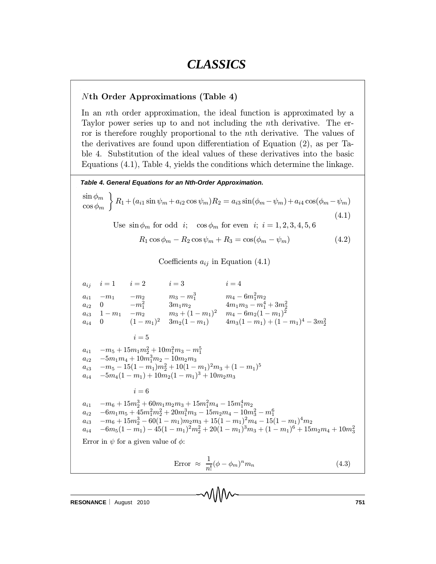### Nth Order Approximations (Table 4)

In an nth order approximation, the ideal function is approximated by a Taylor power series up to and not including the nth derivative. The error is therefore roughly proportional to the nth derivative. The values of the derivatives are found upon differentiation of Equation  $(2)$ , as per Table 4. Substitution of the ideal values of these derivatives into the basic Equations (4.1), Table 4, yields the conditions which determine the linkage.

*Table 4. General Equations for an Nth-Order Approximation.*

$$
\frac{\sin \phi_m}{\cos \phi_m} \left\{ R_1 + (a_{i1} \sin \psi_m + a_{i2} \cos \psi_m) R_2 = a_{i3} \sin(\phi_m - \psi_m) + a_{i4} \cos(\phi_m - \psi_m) \right. \tag{4.1}
$$

Use  $\sin \phi_m$  for odd *i*;  $\cos \phi_m$  for even *i*;  $i = 1, 2, 3, 4, 5, 6$ 

$$
R_1 \cos \phi_m - R_2 \cos \psi_m + R_3 = \cos(\phi_m - \psi_m) \tag{4.2}
$$

Coefficients  $a_{ij}$  in Equation (4.1)

 $a_{ij}$   $i = 1$   $i = 2$   $i = 3$   $i = 4$  $a_{i1}$  –  $m_1$  –  $m_2$   $m_3 - m_1^3$   $m_4 - 6m_1^2m_2$  $\begin{array}{ccc} a_{i2} & 0 & -m_1^2 & 3m_1m_2 & 4m_1m_3 - m_1^4 + 3m_2^2 \ a_{i3} & 1 - m_1 & -m_2 & m_3 + (1 - m_1)^2 & m_4 - 6m_2(1 - m_1)^2 \end{array}$  $a_{i4}$  0  $(1-m_1)^2$   $3m_2(1-m_1)$   $4m_3(1-m_1)+(1-m_1)^4-3m_2^2$  $i=5$  $a_{i1}$   $-m_5 + 15m_1m_2^2 + 10m_1^2m_3 - m_1^5$  $a_{i2}$   $-5m_1m_4 + 10m_1^3m_2 - 10m_2m_3$  $a_{i3}$   $-m_5 - 15(1 - m_1)m_2^2 + 10(1 - m_1)^2m_3 + (1 - m_1)^5$  $a_{i4}$   $-5m_4(1 - m_1) + 10m_2(1 - m_1)^3 + 10m_2m_3$  $i=6$  $a_{i1}$   $-m_6 + 15m_2^3 + 60m_1m_2m_3 + 15m_1^2m_4 - 15m_1^4m_2$  $a_{i2} \quad -6m_1m_5 + 45m_1^2m_2^2 + 20m_1^3m_3 - 15m_2m_4 - 10m_3^2 - m_1^6$  $a_{i3}$   $-m_6 + 15m_2^3 - 60(1 - m_1)m_2m_3 + 15(1 - m_1)^2m_4 - 15(1 - m_1)^4m_2$  $a_{i4}$   $-6m_5(1-m_1)-45(1-m_1)^2m_2^2+20(1-m_1)^3m_3+(1-m_1)^6+15m_2m_4+10m_3^2$ Error in  $\psi$  for a given value of  $\phi$ : Error  $\approx \frac{1}{n}$  $\frac{1}{n!}(\phi - \phi_m)^n m_n$  (4.3)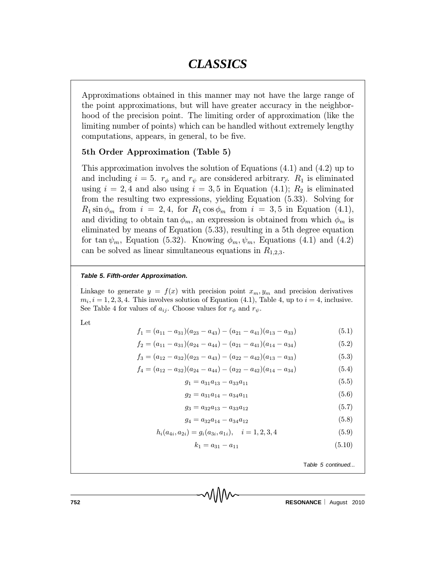Approximations obtained in this manner may not have the large range of the point approximations, but will have greater accuracy in the neighborhood of the precision point. The limiting order of approximation (like the limiting number of points) which can be handled without extremely lengthy computations, appears, in general, to be five.

#### 5th Order Approximation (Table 5)

This approximation involves the solution of Equations (4.1) and (4.2) up to and including  $i = 5$ .  $r_{\phi}$  and  $r_{\psi}$  are considered arbitrary.  $R_1$  is eliminated using  $i = 2, 4$  and also using  $i = 3, 5$  in Equation (4.1);  $R_2$  is eliminated from the resulting two expressions, yielding Equation (5.33). Solving for  $R_1 \sin \phi_m$  from  $i = 2, 4$ , for  $R_1 \cos \phi_m$  from  $i = 3, 5$  in Equation (4.1), and dividing to obtain  $\tan \phi_m$ , an expression is obtained from which  $\phi_m$  is eliminated by means of Equation (5.33), resulting in a 5th degree equation for tan  $\psi_m$ , Equation (5.32). Knowing  $\phi_m, \psi_m$ , Equations (4.1) and (4.2) can be solved as linear simultaneous equations in  $R_{1,2,3}$ .

#### *Table 5. Fifth-order Approximation.*

Linkage to generate  $y = f(x)$  with precision point  $x_m, y_m$  and precision derivatives  $m_i$ ,  $i = 1, 2, 3, 4$ . This involves solution of Equation (4.1), Table 4, up to  $i = 4$ , inclusive. See Table 4 for values of  $a_{ij}$ . Choose values for  $r_{\phi}$  and  $r_{\psi}$ .

Let

$$
f_1 = (a_{11} - a_{31})(a_{23} - a_{43}) - (a_{21} - a_{41})(a_{13} - a_{33})
$$
\n
$$
(5.1)
$$

$$
f_2 = (a_{11} - a_{31})(a_{24} - a_{44}) - (a_{21} - a_{41})(a_{14} - a_{34})
$$
\n
$$
(5.2)
$$

$$
f_3 = (a_{12} - a_{32})(a_{23} - a_{43}) - (a_{22} - a_{42})(a_{13} - a_{33})
$$
\n
$$
(5.3)
$$

$$
f_4 = (a_{12} - a_{32})(a_{24} - a_{44}) - (a_{22} - a_{42})(a_{14} - a_{34})
$$
\n
$$
(5.4)
$$

$$
g_1 = a_{31}a_{13} - a_{33}a_{11} \tag{5.5}
$$

$$
g_2 = a_{31}a_{14} - a_{34}a_{11} \tag{5.6}
$$

$$
g_3 = a_{32}a_{13} - a_{33}a_{12} \tag{5.7}
$$

$$
g_4 = a_{32}a_{14} - a_{34}a_{12} \tag{5.8}
$$

$$
h_i(a_{4i}, a_{2i}) = g_i(a_{3i}, a_{1i}), \quad i = 1, 2, 3, 4
$$
\n
$$
(5.9)
$$

$$
k_1 = a_{31} - a_{11} \tag{5.10}
$$

T*able 5 continued...*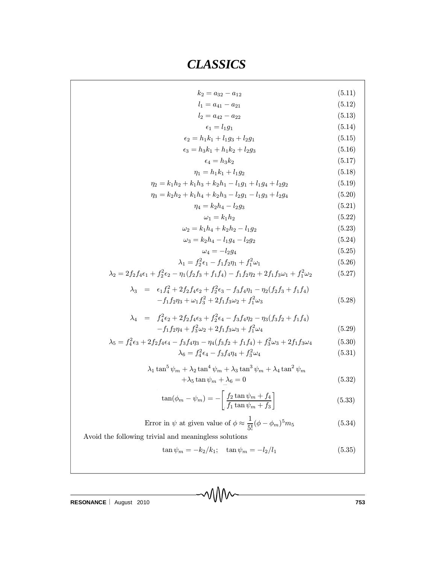$$
k_2 = a_{32} - a_{12}
$$
\n(5.11)  
\n
$$
l_1 = a_{41} - a_{21}
$$
\n(5.12)  
\n
$$
l_2 = a_{42} - a_{22}
$$
\n(5.13)  
\n
$$
\epsilon_1 = l_1g_1
$$
\n(5.14)  
\n
$$
\epsilon_2 = h_1k_1 + l_1g_3 + l_2g_1
$$
\n(5.15)  
\n
$$
\epsilon_3 = h_3k_1 + h_1k_2 + l_2g_3
$$
\n(5.16)  
\n
$$
a_4 = h_3k_2
$$
\n(5.17)  
\n
$$
\eta_1 = h_1k_1 + l_1g_2
$$
\n(5.18)  
\n
$$
\eta_2 = k_1h_2 + k_1h_3 + k_2h_1 - l_1g_1 + l_1g_4 + l_2g_2
$$
\n(5.19)  
\n
$$
\eta_3 = k_2h_2 + k_1h_4 + k_2h_3 - l_2g_1 - l_1g_3 + l_2g_4
$$
\n(5.20)  
\n
$$
\eta_4 = k_2h_3
$$
\n(5.21)  
\n
$$
\omega_1 = k_1h_2
$$
\n(5.22)  
\n
$$
\omega_2 = k_1h_4 + k_2h_2 - l_1g_2
$$
\n(5.23)  
\n
$$
\omega_3 = k_2h_4 - l_1g_4 - l_2g_2
$$
\n(5.24)  
\n
$$
\omega_4 = -l_2g_4
$$
\n(5.25)  
\n
$$
\lambda_1 = f_2^2\epsilon_1 - f_1f_2\eta_1 + f_1^2\omega_1
$$
\n(5.26)  
\n
$$
\lambda_2 = 2f_2f_4\epsilon_1 + f_2^2\epsilon_2 - \eta_1(f_2f_3 + f_1f_4) - f_1f_2\eta_2 + f_1^2\omega_2
$$
\n(5.27)  
\n
$$
\lambda_3 = \epsilon_1f_4^2 + 2f_2f_4\epsilon_2 + f_2^2\epsilon_3 - f_3
$$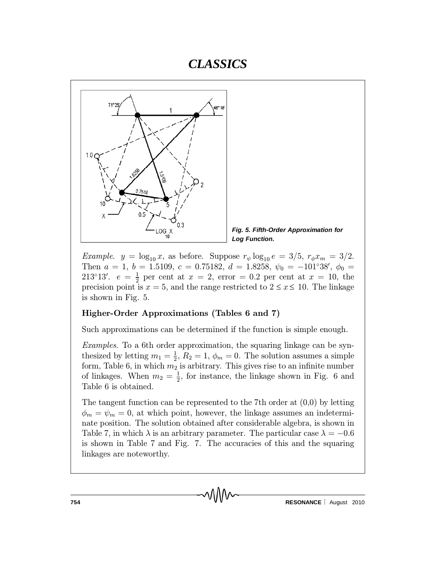



*Example.*  $y = \log_{10} x$ , as before. Suppose  $r_{\psi} \log_{10} e = 3/5$ ,  $r_{\phi} x_m = 3/2$ . Then  $a = 1, b = 1.5109, c = 0.75182, d = 1.8258, \psi_0 = -101^\circ 38', \phi_0 =$ 213°13′.  $e = \frac{1}{2}$  $\frac{1}{2}$  per cent at  $x = 2$ , error = 0.2 per cent at  $x = 10$ , the precision point is  $x = 5$ , and the range restricted to  $2 \le x \le 10$ . The linkage is shown in Fig. 5.

#### Higher-Order Approximations (Tables 6 and 7)

Such approximations can be determined if the function is simple enough.

Examples. To a 6th order approximation, the squaring linkage can be synthesized by letting  $m_1 = \frac{1}{2}$  $\frac{1}{2}$ ,  $R_2 = 1$ ,  $\phi_m = 0$ . The solution assumes a simple form, Table 6, in which  $m_2$  is arbitrary. This gives rise to an infinite number of linkages. When  $m_2 = \frac{1}{2}$  $\frac{1}{2}$ , for instance, the linkage shown in Fig. 6 and Table 6 is obtained.

The tangent function can be represented to the 7th order at (0,0) by letting  $\phi_m = \psi_m = 0$ , at which point, however, the linkage assumes an indeterminate position. The solution obtained after considerable algebra, is shown in Table 7, in which  $\lambda$  is an arbitrary parameter. The particular case  $\lambda = -0.6$ is shown in Table 7 and Fig. 7. The accuracies of this and the squaring linkages are noteworthy.

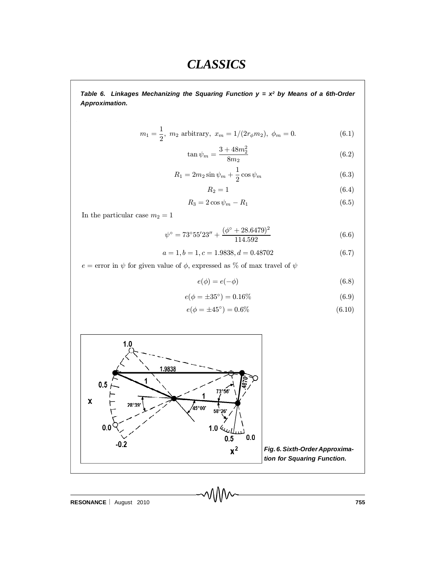*Table 6. Linkages Mechanizing the Squaring Function y = x<sup>2</sup> by Means of a 6th-Order Approximation.*

$$
m_1 = \frac{1}{2}
$$
,  $m_2$  arbitrary,  $x_m = 1/(2r_{\phi}m_2)$ ,  $\phi_m = 0$ . (6.1)

$$
\tan\psi_m = \frac{3 + 48m_2^2}{8m_2} \tag{6.2}
$$

$$
R_1 = 2m_2 \sin \psi_m + \frac{1}{2} \cos \psi_m \tag{6.3}
$$

$$
R_2 = 1\tag{6.4}
$$

$$
R_3 = 2\cos\psi_m - R_1\tag{6.5}
$$

In the particular case  $m_2 = 1$ 

$$
\psi^{\circ} = 73^{\circ}55'23'' + \frac{(\phi^{\circ} + 28.6479)^2}{114.592}
$$
\n(6.6)

$$
a = 1, b = 1, c = 1.9838, d = 0.48702 \tag{6.7}
$$

 $e=$ error in $\psi$  for given value of  $\phi,$  expressed as  $\%$  of max travel of  $\psi$ 

$$
e(\phi) = e(-\phi) \tag{6.8}
$$

$$
e(\phi = \pm 35^{\circ}) = 0.16\% \tag{6.9}
$$

$$
e(\phi = \pm 45^{\circ}) = 0.6\% \tag{6.10}
$$



**RESONANCE** August 2010 **755**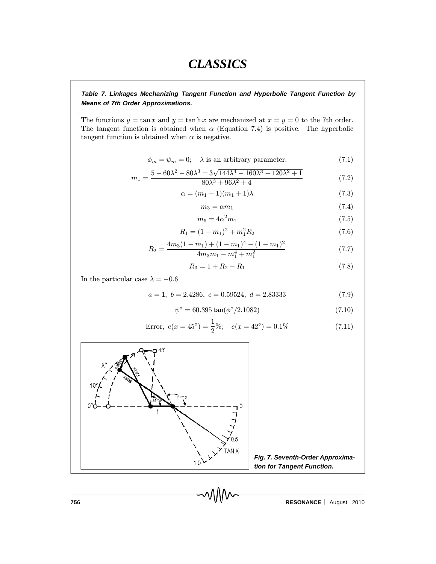#### *Table 7. Linkages Mechanizing Tangent Function and Hyperbolic Tangent Function by Means of 7th Order Approximations.*

The functions  $y = \tan x$  and  $y = \tanh x$  are mechanized at  $x = y = 0$  to the 7th order. The tangent function is obtained when  $\alpha$  (Equation 7.4) is positive. The hyperbolic tangent function is obtained when  $\alpha$  is negative.

$$
\phi_m = \psi_m = 0; \quad \lambda \text{ is an arbitrary parameter.} \tag{7.1}
$$

$$
m_1 = \frac{5 - 60\lambda^2 - 80\lambda^3 \pm 3\sqrt{144\lambda^4 - 160\lambda^3 - 120\lambda^2 + 1}}{80\lambda^3 + 96\lambda^2 + 4}
$$
(7.2)

$$
\alpha = (m_1 - 1)(m_1 + 1)\lambda \tag{7.3}
$$

$$
m_3 = \alpha m_1 \tag{7.4}
$$

$$
m_5 = 4\alpha^2 m_1 \tag{7.5}
$$

$$
R_1 = (1 - m_1)^2 + m_1^2 R_2 \tag{7.6}
$$

$$
R_2 = \frac{4m_3(1 - m_1) + (1 - m_1)^4 - (1 - m_1)^2}{4m_3m_1 - m_1^4 + m_1^2}
$$
\n(7.7)

$$
R_3 = 1 + R_2 - R_1 \tag{7.8}
$$

In the particular case  $\lambda = -0.6$ 

$$
a = 1, b = 2.4286, c = 0.59524, d = 2.83333
$$
\n
$$
(7.9)
$$

$$
\psi^{\circ} = 60.395 \tan(\phi^{\circ}/2.1082) \tag{7.10}
$$

Error, 
$$
e(x = 45^{\circ}) = \frac{1}{2}\%;
$$
  $e(x = 42^{\circ}) = 0.1\%$  (7.11)



*Fig. 7. Seventh-Order Approximation for Tangent Function.*

**756 RESONANCE** August 2010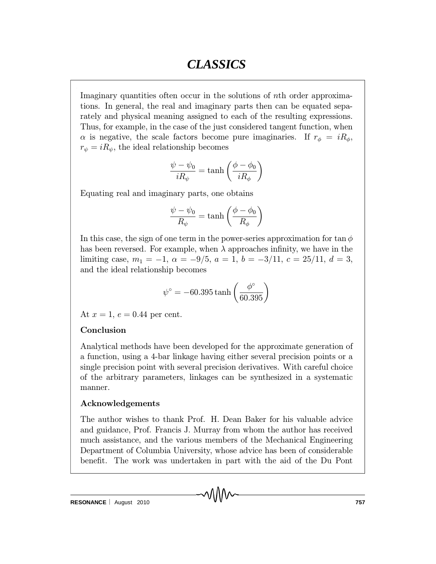Imaginary quantities often occur in the solutions of nth order approximations. In general, the real and imaginary parts then can be equated separately and physical meaning assigned to each of the resulting expressions. Thus, for example, in the case of the just considered tangent function, when  $\alpha$  is negative, the scale factors become pure imaginaries. If  $r_{\phi} = iR_{\phi}$ ,  $r_{\psi} = iR_{\psi}$ , the ideal relationship becomes

$$
\frac{\psi - \psi_0}{iR_\psi} = \tanh\left(\frac{\phi - \phi_0}{iR_\phi}\right)
$$

Equating real and imaginary parts, one obtains

$$
\frac{\psi - \psi_0}{R_{\psi}} = \tanh\left(\frac{\phi - \phi_0}{R_{\phi}}\right)
$$

In this case, the sign of one term in the power-series approximation for tan  $\phi$ has been reversed. For example, when  $\lambda$  approaches infinity, we have in the limiting case,  $m_1 = -1$ ,  $\alpha = -9/5$ ,  $a = 1$ ,  $b = -3/11$ ,  $c = 25/11$ ,  $d = 3$ , and the ideal relationship becomes

$$
\psi^\circ = -60.395\tanh\left(\frac{\phi^\circ}{60.395}\right)
$$

At  $x = 1, e = 0.44$  per cent.

#### Conclusion

Analytical methods have been developed for the approximate generation of a function, using a 4-bar linkage having either several precision points or a single precision point with several precision derivatives. With careful choice of the arbitrary parameters, linkages can be synthesized in a systematic manner.

#### Acknowledgements

The author wishes to thank Prof. H. Dean Baker for his valuable advice and guidance, Prof. Francis J. Murray from whom the author has received much assistance, and the various members of the Mechanical Engineering Department of Columbia University, whose advice has been of considerable benefit. The work was undertaken in part with the aid of the Du Pont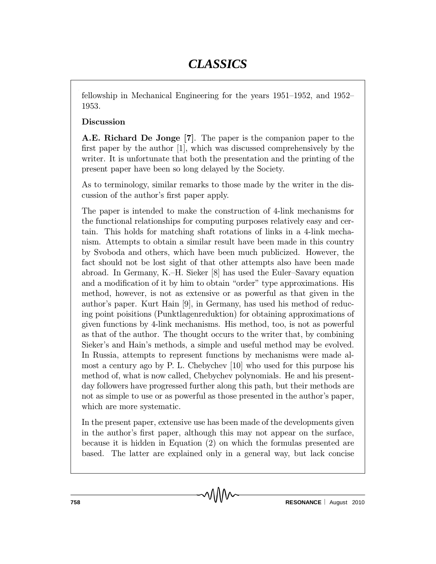fellowship in Mechanical Engineering for the years  $1951-1952$ , and  $1952-$ 1953.

### Discussion

A.E. Richard De Jonge [7]. The paper is the companion paper to the first paper by the author  $[1]$ , which was discussed comprehensively by the writer. It is unfortunate that both the presentation and the printing of the present paper have been so long delayed by the Society.

As to terminology, similar remarks to those made by the writer in the discussion of the author's first paper apply.

The paper is intended to make the construction of 4-link mechanisms for the functional relationships for computing purposes relatively easy and certain. This holds for matching shaft rotations of links in a 4-link mechanism. Attempts to obtain a similar result have been made in this country by Svoboda and others, which have been much publicized. However, the fact should not be lost sight of that other attempts also have been made abroad. In Germany, K.-H. Sieker  $[8]$  has used the Euler-Savary equation and a modification of it by him to obtain "order" type approximations. His method, however, is not as extensive or as powerful as that given in the author's paper. Kurt Hain [9], in Germany, has used his method of reducing point poisitions (Punktlagenreduktion) for obtaining approximations of given functions by 4-link mechanisms. His method, too, is not as powerful as that of the author. The thought occurs to the writer that, by combining Sieker's and Hain's methods, a simple and useful method may be evolved. In Russia, attempts to represent functions by mechanisms were made almost a century ago by P. L. Chebychev [10] who used for this purpose his method of, what is now called, Chebychev polynomials. He and his presentday followers have progressed further along this path, but their methods are not as simple to use or as powerful as those presented in the author's paper, which are more systematic.

In the present paper, extensive use has been made of the developments given in the author's first paper, although this may not appear on the surface, because it is hidden in Equation (2) on which the formulas presented are based. The latter are explained only in a general way, but lack concise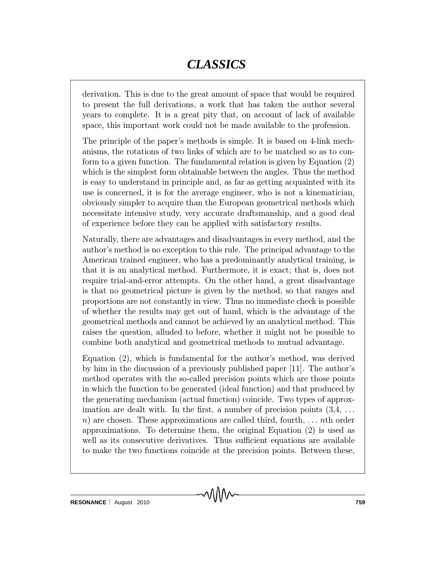derivation. This is due to the great amount of space that would be required to present the full derivations, a work that has taken the author several years to complete. It is a great pity that, on account of lack of available space, this important work could not be made available to the profession.

The principle of the paper's methods is simple. It is based on 4-link mechanisms, the rotations of two links of which are to be matched so as to conform to a given function. The fundamental relation is given by Equation (2) which is the simplest form obtainable between the angles. Thus the method is easy to understand in principle and, as far as getting acquainted with its use is concerned, it is for the average engineer, who is not a kinematician, obviously simpler to acquire than the European geometrical methods which necessitate intensive study, very accurate draftsmanship, and a good deal of experience before they can be applied with satisfactory results.

Naturally, there are advantages and disadvantages in every method, and the author's method is no exception to this rule. The principal advantage to the American trained engineer, who has a predominantly analytical training, is that it is an analytical method. Furthermore, it is exact; that is, does not require trial-and-error attempts. On the other hand, a great disadvantage is that no geometrical picture is given by the method, so that ranges and proportions are not constantly in view. Thus no immediate check is possible of whether the results may get out of hand, which is the advantage of the geometrical methods and cannot be achieved by an analytical method. This raises the question, alluded to before, whether it might not be possible to combine both analytical and geometrical methods to mutual advantage.

Equation (2), which is fundamental for the author's method, was derived by him in the discussion of a previously published paper [11]. The author's method operates with the so-called precision points which are those points in which the function to be generated (ideal function) and that produced by the generating mechanism (actual function) coincide. Two types of approximation are dealt with. In the first, a number of precision points  $(3,4,\ldots)$ n) are chosen. These approximations are called third, fourth,  $\dots$  nth order approximations. To determine them, the original Equation (2) is used as well as its consecutive derivatives. Thus sufficient equations are available to make the two functions coincide at the precision points. Between these,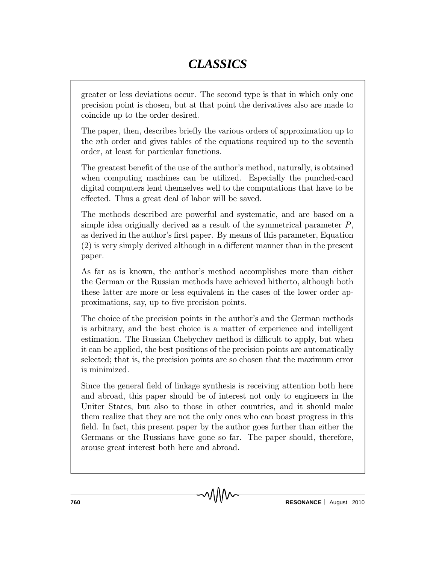greater or less deviations occur. The second type is that in which only one precision point is chosen, but at that point the derivatives also are made to coincide up to the order desired.

The paper, then, describes briefly the various orders of approximation up to the nth order and gives tables of the equations required up to the seventh order, at least for particular functions.

The greatest benefit of the use of the author's method, naturally, is obtained when computing machines can be utilized. Especially the punched-card digital computers lend themselves well to the computations that have to be effected. Thus a great deal of labor will be saved.

The methods described are powerful and systematic, and are based on a simple idea originally derived as a result of the symmetrical parameter  $P$ , as derived in the author's first paper. By means of this parameter, Equation  $(2)$  is very simply derived although in a different manner than in the present paper.

As far as is known, the author's method accomplishes more than either the German or the Russian methods have achieved hitherto, although both these latter are more or less equivalent in the cases of the lower order approximations, say, up to five precision points.

The choice of the precision points in the author's and the German methods is arbitrary, and the best choice is a matter of experience and intelligent estimation. The Russian Chebychev method is difficult to apply, but when it can be applied, the best positions of the precision points are automatically selected; that is, the precision points are so chosen that the maximum error is minimized.

Since the general field of linkage synthesis is receiving attention both here and abroad, this paper should be of interest not only to engineers in the Uniter States, but also to those in other countries, and it should make them realize that they are not the only ones who can boast progress in this field. In fact, this present paper by the author goes further than either the Germans or the Russians have gone so far. The paper should, therefore, arouse great interest both here and abroad.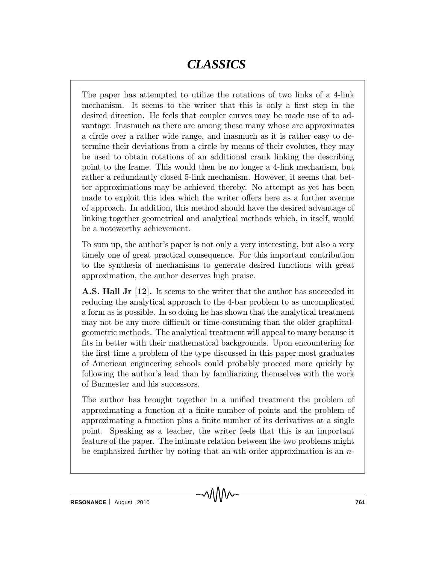The paper has attempted to utilize the rotations of two links of a 4-link mechanism. It seems to the writer that this is only a first step in the desired direction. He feels that coupler curves may be made use of to advantage. Inasmuch as there are among these many whose arc approximates a circle over a rather wide range, and inasmuch as it is rather easy to determine their deviations from a circle by means of their evolutes, they may be used to obtain rotations of an additional crank linking the describing point to the frame. This would then be no longer a 4-link mechanism, but rather a redundantly closed 5-link mechanism. However, it seems that better approximations may be achieved thereby. No attempt as yet has been made to exploit this idea which the writer offers here as a further avenue of approach. In addition, this method should have the desired advantage of linking together geometrical and analytical methods which, in itself, would be a noteworthy achievement.

To sum up, the author's paper is not only a very interesting, but also a very timely one of great practical consequence. For this important contribution to the synthesis of mechanisms to generate desired functions with great approximation, the author deserves high praise.

**A.S. Hall Jr [12].** It seems to the writer that the author has succeeded in reducing the analytical approach to the 4-bar problem to as uncomplicated a form as is possible. In so doing he has shown that the analytical treatment may not be any more difficult or time-consuming than the older graphicalgeometric methods. The analytical treatment will appeal to many because it fits in better with their mathematical backgrounds. Upon encountering for the first time a problem of the type discussed in this paper most graduates of American engineering schools could probably proceed more quickly by following the author's lead than by familiarizing themselves with the work of Burmester and his successors.

The author has brought together in a unified treatment the problem of approximating a function at a finite number of points and the problem of approximating a function plus a finite number of its derivatives at a single point. Speaking as a teacher, the writer feels that this is an important feature of the paper. The intimate relation between the two problems might be emphasized further by noting that an nth order approximation is an  $n$ -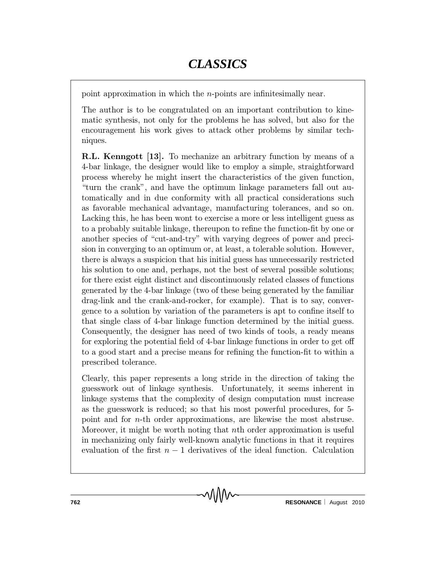point approximation in which the *n*-points are infinitesimally near.

The author is to be congratulated on an important contribution to kinematic synthesis, not only for the problems he has solved, but also for the encouragement his work gives to attack other problems by similar techniques.

R.L. Kenngott [13]. To mechanize an arbitrary function by means of a 4-bar linkage, the designer would like to employ a simple, straightforward process whereby he might insert the characteristics of the given function, "turn the crank", and have the optimum linkage parameters fall out automatically and in due conformity with all practical considerations such as favorable mechanical advantage, manufacturing tolerances, and so on. Lacking this, he has been wont to exercise a more or less intelligent guess as to a probably suitable linkage, thereupon to refine the function-fit by one or another species of "cut-and-try" with varying degrees of power and precision in converging to an optimum or, at least, a tolerable solution. However, there is always a suspicion that his initial guess has unnecessarily restricted his solution to one and, perhaps, not the best of several possible solutions; for there exist eight distinct and discontinuously related classes of functions generated by the 4-bar linkage (two of these being generated by the familiar drag-link and the crank-and-rocker, for example). That is to say, convergence to a solution by variation of the parameters is apt to confine itself to that single class of 4-bar linkage function determined by the initial guess. Consequently, the designer has need of two kinds of tools, a ready means for exploring the potential field of  $4$ -bar linkage functions in order to get off to a good start and a precise means for refining the function-fit to within a prescribed tolerance.

Clearly, this paper represents a long stride in the direction of taking the guesswork out of linkage synthesis. Unfortunately, it seems inherent in linkage systems that the complexity of design computation must increase as the guesswork is reduced; so that his most powerful procedures, for 5 point and for n-th order approximations, are likewise the most abstruse. Moreover, it might be worth noting that nth order approximation is useful in mechanizing only fairly well-known analytic functions in that it requires evaluation of the first  $n-1$  derivatives of the ideal function. Calculation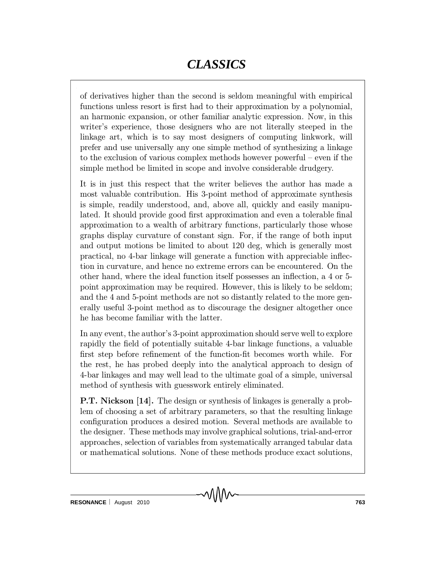of derivatives higher than the second is seldom meaningful with empirical functions unless resort is first had to their approximation by a polynomial, an harmonic expansion, or other familiar analytic expression. Now, in this writer's experience, those designers who are not literally steeped in the linkage art, which is to say most designers of computing linkwork, will prefer and use universally any one simple method of synthesizing a linkage to the exclusion of various complex methods however powerful  $-$  even if the simple method be limited in scope and involve considerable drudgery.

It is in just this respect that the writer believes the author has made a most valuable contribution. His 3-point method of approximate synthesis is simple, readily understood, and, above all, quickly and easily manipulated. It should provide good first approximation and even a tolerable final approximation to a wealth of arbitrary functions, particularly those whose graphs display curvature of constant sign. For, if the range of both input and output motions be limited to about 120 deg, which is generally most practical, no 4-bar linkage will generate a function with appreciable inflection in curvature, and hence no extreme errors can be encountered. On the other hand, where the ideal function itself possesses an inflection, a 4 or 5point approximation may be required. However, this is likely to be seldom; and the 4 and 5-point methods are not so distantly related to the more generally useful 3-point method as to discourage the designer altogether once he has become familiar with the latter.

In any event, the author's 3-point approximation should serve well to explore rapidly the field of potentially suitable 4-bar linkage functions, a valuable first step before refinement of the function-fit becomes worth while. For the rest, he has probed deeply into the analytical approach to design of 4-bar linkages and may well lead to the ultimate goal of a simple, universal method of synthesis with guesswork entirely eliminated.

P.T. Nickson [14]. The design or synthesis of linkages is generally a problem of choosing a set of arbitrary parameters, so that the resulting linkage configuration produces a desired motion. Several methods are available to the designer. These methods may involve graphical solutions, trial-and-error approaches, selection of variables from systematically arranged tabular data or mathematical solutions. None of these methods produce exact solutions,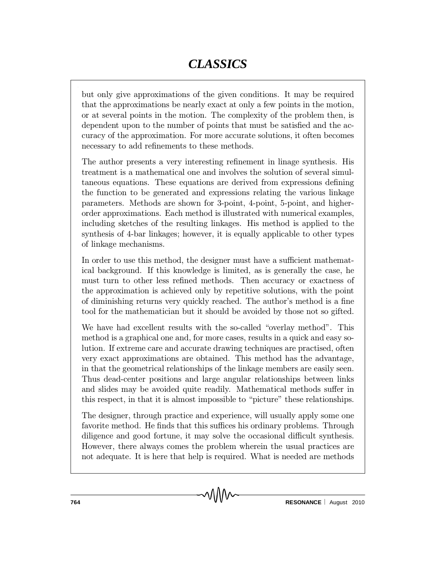but only give approximations of the given conditions. It may be required that the approximations be nearly exact at only a few points in the motion, or at several points in the motion. The complexity of the problem then, is dependent upon to the number of points that must be satisfied and the accuracy of the approximation. For more accurate solutions, it often becomes necessary to add refinements to these methods.

The author presents a very interesting refinement in linage synthesis. His treatment is a mathematical one and involves the solution of several simultaneous equations. These equations are derived from expressions defining the function to be generated and expressions relating the various linkage parameters. Methods are shown for 3-point, 4-point, 5-point, and higherorder approximations. Each method is illustrated with numerical examples, including sketches of the resulting linkages. His method is applied to the synthesis of 4-bar linkages; however, it is equally applicable to other types of linkage mechanisms.

In order to use this method, the designer must have a sufficient mathematical background. If this knowledge is limited, as is generally the case, he must turn to other less refined methods. Then accuracy or exactness of the approximation is achieved only by repetitive solutions, with the point of diminishing returns very quickly reached. The author's method is a fine tool for the mathematician but it should be avoided by those not so gifted.

We have had excellent results with the so-called "overlay method". This method is a graphical one and, for more cases, results in a quick and easy solution. If extreme care and accurate drawing techniques are practised, often very exact approximations are obtained. This method has the advantage, in that the geometrical relationships of the linkage members are easily seen. Thus dead-center positions and large angular relationships between links and slides may be avoided quite readily. Mathematical methods suffer in this respect, in that it is almost impossible to \picture" these relationships.

The designer, through practice and experience, will usually apply some one favorite method. He finds that this suffices his ordinary problems. Through diligence and good fortune, it may solve the occasional difficult synthesis. However, there always comes the problem wherein the usual practices are not adequate. It is here that help is required. What is needed are methods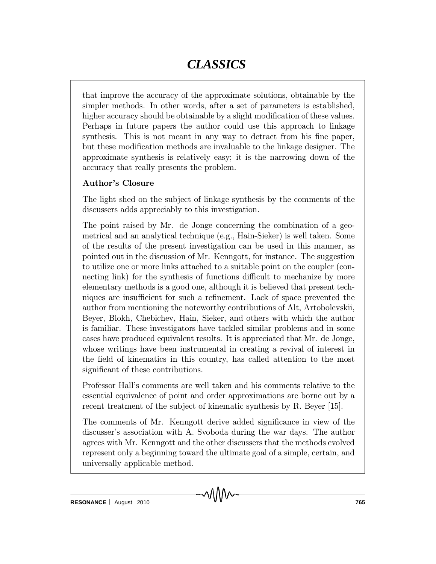that improve the accuracy of the approximate solutions, obtainable by the simpler methods. In other words, after a set of parameters is established, higher accuracy should be obtainable by a slight modification of these values. Perhaps in future papers the author could use this approach to linkage synthesis. This is not meant in any way to detract from his fine paper, but these modification methods are invaluable to the linkage designer. The approximate synthesis is relatively easy; it is the narrowing down of the accuracy that really presents the problem.

### Author's Closure

The light shed on the subject of linkage synthesis by the comments of the discussers adds appreciably to this investigation.

The point raised by Mr. de Jonge concerning the combination of a geometrical and an analytical technique (e.g., Hain-Sieker) is well taken. Some of the results of the present investigation can be used in this manner, as pointed out in the discussion of Mr. Kenngott, for instance. The suggestion to utilize one or more links attached to a suitable point on the coupler (connecting link) for the synthesis of functions difficult to mechanize by more elementary methods is a good one, although it is believed that present techniques are insufficient for such a refinement. Lack of space prevented the author from mentioning the noteworthy contributions of Alt, Artobolevskii, Beyer, Blokh, Chebichev, Hain, Sieker, and others with which the author is familiar. These investigators have tackled similar problems and in some cases have produced equivalent results. It is appreciated that Mr. de Jonge, whose writings have been instrumental in creating a revival of interest in the field of kinematics in this country, has called attention to the most significant of these contributions.

Professor Hall's comments are well taken and his comments relative to the essential equivalence of point and order approximations are borne out by a recent treatment of the subject of kinematic synthesis by R. Beyer [15].

The comments of Mr. Kenngott derive added significance in view of the discusser's association with A. Svoboda during the war days. The author agrees with Mr. Kenngott and the other discussers that the methods evolved represent only a beginning toward the ultimate goal of a simple, certain, and universally applicable method.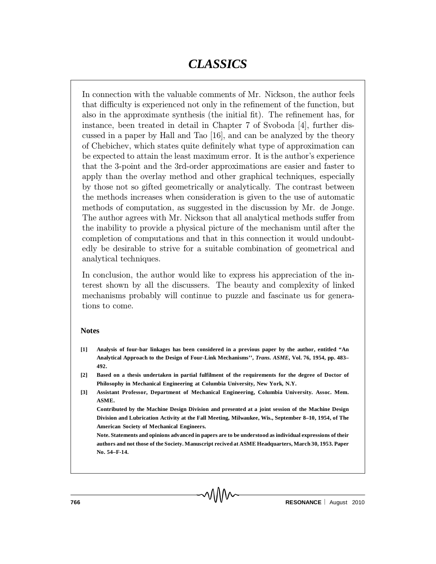In connection with the valuable comments of Mr. Nickson, the author feels that difficulty is experienced not only in the refinement of the function, but also in the approximate synthesis (the initial  $\text{fit}$ ). The refinement has, for instance, been treated in detail in Chapter 7 of Svoboda [4], further discussed in a paper by Hall and Tao [16], and can be analyzed by the theory of Chebichev, which states quite definitely what type of approximation can be expected to attain the least maximum error. It is the author's experience that the 3-point and the 3rd-order approximations are easier and faster to apply than the overlay method and other graphical techniques, especially by those not so gifted geometrically or analytically. The contrast between the methods increases when consideration is given to the use of automatic methods of computation, as suggested in the discussion by Mr. de Jonge. The author agrees with Mr. Nickson that all analytical methods suffer from the inability to provide a physical picture of the mechanism until after the completion of computations and that in this connection it would undoubtedly be desirable to strive for a suitable combination of geometrical and analytical techniques.

In conclusion, the author would like to express his appreciation of the interest shown by all the discussers. The beauty and complexity of linked mechanisms probably will continue to puzzle and fascinate us for generations to come.

#### **Notes**

- **[1] Analysis of four-bar linkages has been considered in a previous paper by the author, entitled "An Analytical Approach to the Design of Four-Link Mechanisms'',** *Trans. ASME***, Vol. 76, 1954, pp. 483– 492.**
- **[2] Based on a thesis undertaken in partial fulfilment of the requirements for the degree of Doctor of Philosophy in Mechanical Engineering at Columbia University, New York, N.Y.**
- **[3] Assistant Professor, Department of Mechanical Engineering, Columbia University. Assoc. Mem. ASME.**

**Contributed by the Machine Design Division and presented at a joint session of the Machine Design Division and Lubrication Activity at the Fall Meeting, Milwaukee, Wis., September 8–10, 1954, of The American Society of Mechanical Engineers.**

**Note. Statements and opinions advanced in papers are to be understood as individual expressions of their authors and not those of the Society. Manuscript recived at ASME Headquarters, March 30, 1953. Paper No. 54–F-14.**